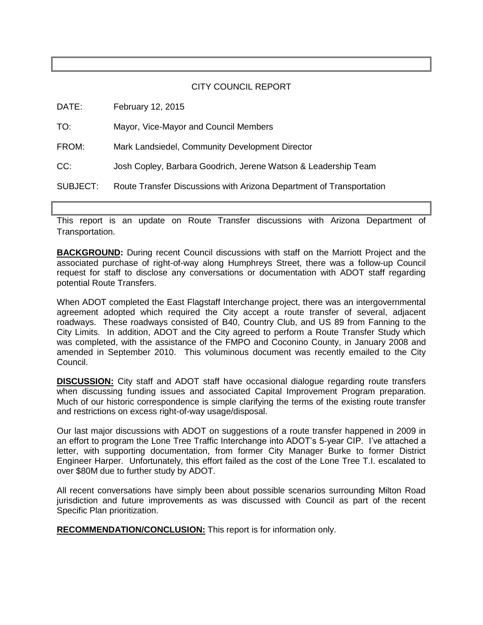#### CITY COUNCIL REPORT

| DATE:    | February 12, 2015                                                    |
|----------|----------------------------------------------------------------------|
| TO:      | Mayor, Vice-Mayor and Council Members                                |
| FROM:    | Mark Landsiedel, Community Development Director                      |
| CC:      | Josh Copley, Barbara Goodrich, Jerene Watson & Leadership Team       |
| SUBJECT: | Route Transfer Discussions with Arizona Department of Transportation |
|          |                                                                      |

This report is an update on Route Transfer discussions with Arizona Department of Transportation.

**BACKGROUND:** During recent Council discussions with staff on the Marriott Project and the associated purchase of right-of-way along Humphreys Street, there was a follow-up Council request for staff to disclose any conversations or documentation with ADOT staff regarding potential Route Transfers.

When ADOT completed the East Flagstaff Interchange project, there was an intergovernmental agreement adopted which required the City accept a route transfer of several, adjacent roadways. These roadways consisted of B40, Country Club, and US 89 from Fanning to the City Limits. In addition, ADOT and the City agreed to perform a Route Transfer Study which was completed, with the assistance of the FMPO and Coconino County, in January 2008 and amended in September 2010. This voluminous document was recently emailed to the City Council.

**DISCUSSION:** City staff and ADOT staff have occasional dialogue regarding route transfers when discussing funding issues and associated Capital Improvement Program preparation. Much of our historic correspondence is simple clarifying the terms of the existing route transfer and restrictions on excess right-of-way usage/disposal.

Our last major discussions with ADOT on suggestions of a route transfer happened in 2009 in an effort to program the Lone Tree Traffic Interchange into ADOT's 5-year CIP. I've attached a letter, with supporting documentation, from former City Manager Burke to former District Engineer Harper. Unfortunately, this effort failed as the cost of the Lone Tree T.I. escalated to over \$80M due to further study by ADOT.

All recent conversations have simply been about possible scenarios surrounding Milton Road jurisdiction and future improvements as was discussed with Council as part of the recent Specific Plan prioritization.

**RECOMMENDATION/CONCLUSION:** This report is for information only.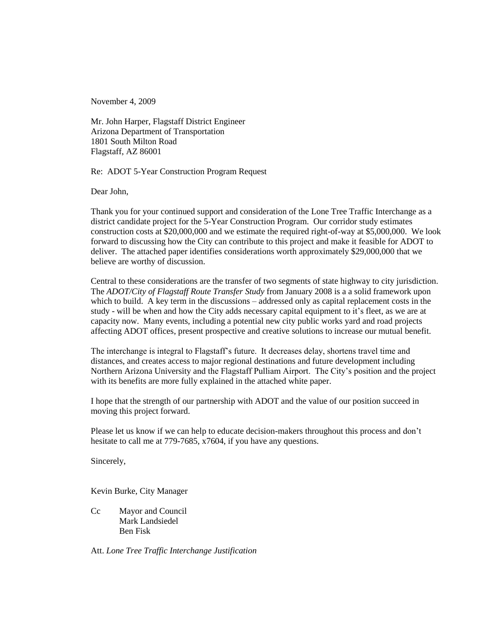November 4, 2009

Mr. John Harper, Flagstaff District Engineer Arizona Department of Transportation 1801 South Milton Road Flagstaff, AZ 86001

Re: ADOT 5-Year Construction Program Request

Dear John,

Thank you for your continued support and consideration of the Lone Tree Traffic Interchange as a district candidate project for the 5-Year Construction Program. Our corridor study estimates construction costs at \$20,000,000 and we estimate the required right-of-way at \$5,000,000. We look forward to discussing how the City can contribute to this project and make it feasible for ADOT to deliver. The attached paper identifies considerations worth approximately \$29,000,000 that we believe are worthy of discussion.

Central to these considerations are the transfer of two segments of state highway to city jurisdiction. The *ADOT/City of Flagstaff Route Transfer Study* from January 2008 is a a solid framework upon which to build. A key term in the discussions – addressed only as capital replacement costs in the study - will be when and how the City adds necessary capital equipment to it's fleet, as we are at capacity now. Many events, including a potential new city public works yard and road projects affecting ADOT offices, present prospective and creative solutions to increase our mutual benefit.

The interchange is integral to Flagstaff's future. It decreases delay, shortens travel time and distances, and creates access to major regional destinations and future development including Northern Arizona University and the Flagstaff Pulliam Airport. The City's position and the project with its benefits are more fully explained in the attached white paper.

I hope that the strength of our partnership with ADOT and the value of our position succeed in moving this project forward.

Please let us know if we can help to educate decision-makers throughout this process and don't hesitate to call me at 779-7685, x7604, if you have any questions.

Sincerely,

Kevin Burke, City Manager

Cc Mayor and Council Mark Landsiedel Ben Fisk

Att. *Lone Tree Traffic Interchange Justification*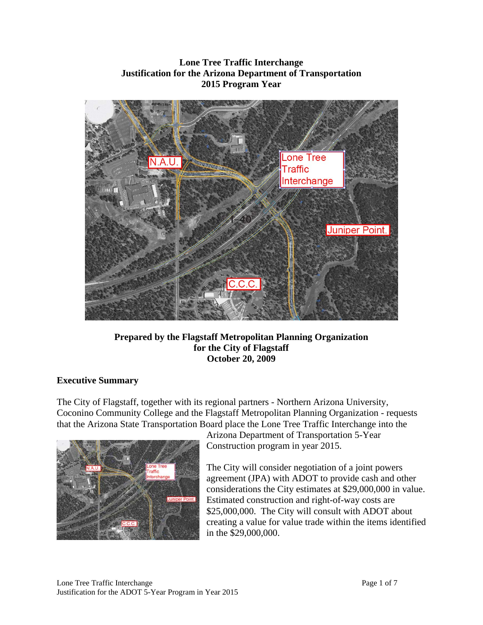## **Lone Tree Traffic Interchange Justification for the Arizona Department of Transportation 2015 Program Year**



**Prepared by the Flagstaff Metropolitan Planning Organization for the City of Flagstaff October 20, 2009** 

# **Executive Summary**

The City of Flagstaff, together with its regional partners - Northern Arizona University, Coconino Community College and the Flagstaff Metropolitan Planning Organization - requests that the Arizona State Transportation Board place the Lone Tree Traffic Interchange into the



Arizona Department of Transportation 5-Year Construction program in year 2015.

The City will consider negotiation of a joint powers agreement (JPA) with ADOT to provide cash and other considerations the City estimates at \$29,000,000 in value. Estimated construction and right-of-way costs are \$25,000,000. The City will consult with ADOT about creating a value for value trade within the items identified in the \$29,000,000.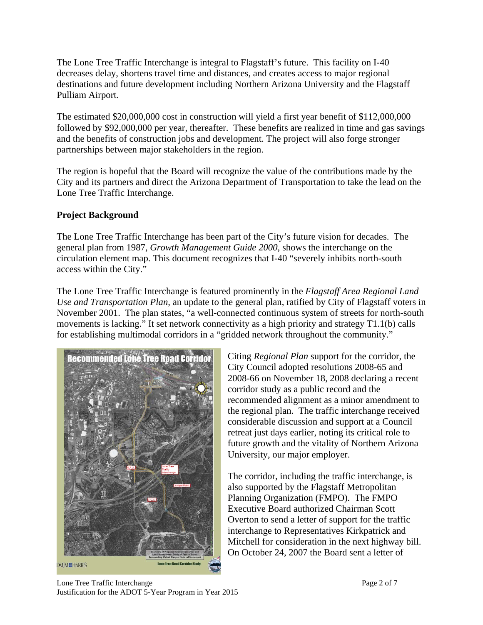The Lone Tree Traffic Interchange is integral to Flagstaff's future. This facility on I-40 decreases delay, shortens travel time and distances, and creates access to major regional destinations and future development including Northern Arizona University and the Flagstaff Pulliam Airport.

The estimated \$20,000,000 cost in construction will yield a first year benefit of \$112,000,000 followed by \$92,000,000 per year, thereafter. These benefits are realized in time and gas savings and the benefits of construction jobs and development. The project will also forge stronger partnerships between major stakeholders in the region.

The region is hopeful that the Board will recognize the value of the contributions made by the City and its partners and direct the Arizona Department of Transportation to take the lead on the Lone Tree Traffic Interchange.

## **Project Background**

The Lone Tree Traffic Interchange has been part of the City's future vision for decades. The general plan from 1987, *Growth Management Guide 2000,* shows the interchange on the circulation element map. This document recognizes that I-40 "severely inhibits north-south access within the City."

The Lone Tree Traffic Interchange is featured prominently in the *Flagstaff Area Regional Land Use and Transportation Plan,* an update to the general plan, ratified by City of Flagstaff voters in November 2001. The plan states, "a well-connected continuous system of streets for north-south movements is lacking." It set network connectivity as a high priority and strategy T1.1(b) calls for establishing multimodal corridors in a "gridded network throughout the community."



Citing *Regional Plan* support for the corridor, the City Council adopted resolutions 2008-65 and 2008-66 on November 18, 2008 declaring a recent corridor study as a public record and the recommended alignment as a minor amendment to the regional plan. The traffic interchange received considerable discussion and support at a Council retreat just days earlier, noting its critical role to future growth and the vitality of Northern Arizona University, our major employer.

The corridor, including the traffic interchange, is also supported by the Flagstaff Metropolitan Planning Organization (FMPO). The FMPO Executive Board authorized Chairman Scott Overton to send a letter of support for the traffic interchange to Representatives Kirkpatrick and Mitchell for consideration in the next highway bill. On October 24, 2007 the Board sent a letter of

Lone Tree Traffic Interchange Page 2 of 7 Justification for the ADOT 5-Year Program in Year 2015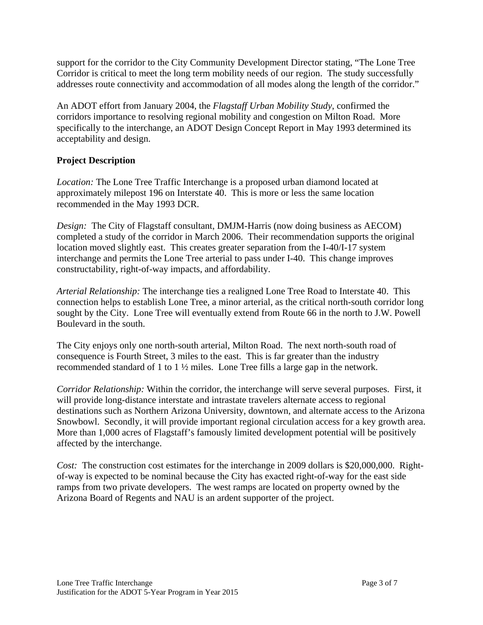support for the corridor to the City Community Development Director stating, "The Lone Tree Corridor is critical to meet the long term mobility needs of our region. The study successfully addresses route connectivity and accommodation of all modes along the length of the corridor."

An ADOT effort from January 2004, the *Flagstaff Urban Mobility Study*, confirmed the corridors importance to resolving regional mobility and congestion on Milton Road. More specifically to the interchange, an ADOT Design Concept Report in May 1993 determined its acceptability and design.

## **Project Description**

*Location:* The Lone Tree Traffic Interchange is a proposed urban diamond located at approximately milepost 196 on Interstate 40. This is more or less the same location recommended in the May 1993 DCR.

*Design:* The City of Flagstaff consultant, DMJM-Harris (now doing business as AECOM) completed a study of the corridor in March 2006. Their recommendation supports the original location moved slightly east. This creates greater separation from the I-40/I-17 system interchange and permits the Lone Tree arterial to pass under I-40. This change improves constructability, right-of-way impacts, and affordability.

*Arterial Relationship:* The interchange ties a realigned Lone Tree Road to Interstate 40. This connection helps to establish Lone Tree, a minor arterial, as the critical north-south corridor long sought by the City. Lone Tree will eventually extend from Route 66 in the north to J.W. Powell Boulevard in the south.

The City enjoys only one north-south arterial, Milton Road. The next north-south road of consequence is Fourth Street, 3 miles to the east. This is far greater than the industry recommended standard of 1 to 1 ½ miles. Lone Tree fills a large gap in the network.

*Corridor Relationship:* Within the corridor, the interchange will serve several purposes. First, it will provide long-distance interstate and intrastate travelers alternate access to regional destinations such as Northern Arizona University, downtown, and alternate access to the Arizona Snowbowl. Secondly, it will provide important regional circulation access for a key growth area. More than 1,000 acres of Flagstaff's famously limited development potential will be positively affected by the interchange.

*Cost:* The construction cost estimates for the interchange in 2009 dollars is \$20,000,000. Rightof-way is expected to be nominal because the City has exacted right-of-way for the east side ramps from two private developers. The west ramps are located on property owned by the Arizona Board of Regents and NAU is an ardent supporter of the project.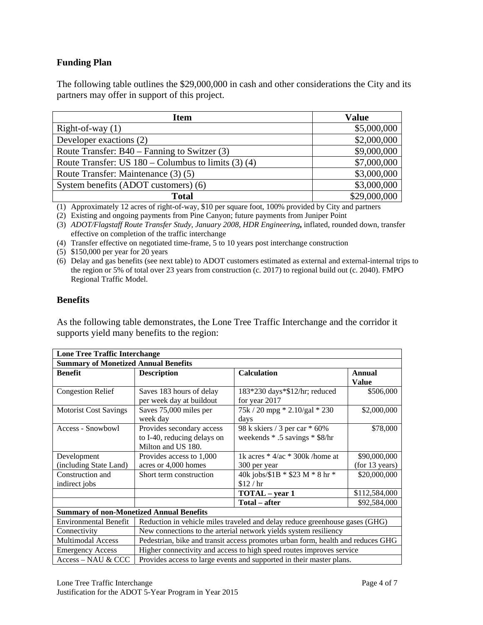### **Funding Plan**

The following table outlines the \$29,000,000 in cash and other considerations the City and its partners may offer in support of this project.

| <b>Item</b>                                           | <b>Value</b> |  |
|-------------------------------------------------------|--------------|--|
| Right-of-way $(1)$                                    | \$5,000,000  |  |
| Developer exactions (2)                               | \$2,000,000  |  |
| Route Transfer: $B40 - Fanning$ to Switzer (3)        | \$9,000,000  |  |
| Route Transfer: US $180 -$ Columbus to limits (3) (4) | \$7,000,000  |  |
| Route Transfer: Maintenance (3) (5)                   | \$3,000,000  |  |
| System benefits (ADOT customers) (6)                  | \$3,000,000  |  |
| <b>Total</b>                                          | \$29,000,000 |  |

(1) Approximately 12 acres of right-of-way, \$10 per square foot, 100% provided by City and partners

(2) Existing and ongoing payments from Pine Canyon; future payments from Juniper Point

(3) *ADOT/Flagstaff Route Transfer Study, January 2008, HDR Engineering***,** inflated, rounded down, transfer effective on completion of the traffic interchange

(4) Transfer effective on negotiated time-frame, 5 to 10 years post interchange construction

(5) \$150,000 per year for 20 years

(6) Delay and gas benefits (see next table) to ADOT customers estimated as external and external-internal trips to the region or 5% of total over 23 years from construction (c. 2017) to regional build out (c. 2040). FMPO Regional Traffic Model.

#### **Benefits**

As the following table demonstrates, the Lone Tree Traffic Interchange and the corridor it supports yield many benefits to the region:

| <b>Lone Tree Traffic Interchange</b>                                                     |                                                                                 |                                     |                |  |  |  |  |
|------------------------------------------------------------------------------------------|---------------------------------------------------------------------------------|-------------------------------------|----------------|--|--|--|--|
| <b>Summary of Monetized Annual Benefits</b>                                              |                                                                                 |                                     |                |  |  |  |  |
| <b>Benefit</b>                                                                           | <b>Description</b>                                                              | <b>Calculation</b>                  | <b>Annual</b>  |  |  |  |  |
|                                                                                          |                                                                                 |                                     | <b>Value</b>   |  |  |  |  |
| <b>Congestion Relief</b>                                                                 | Saves 183 hours of delay                                                        | 183*230 days*\$12/hr; reduced       | \$506,000      |  |  |  |  |
|                                                                                          | per week day at buildout                                                        | for year 2017                       |                |  |  |  |  |
| <b>Motorist Cost Savings</b>                                                             | Saves 75,000 miles per                                                          | $75k / 20$ mpg $* 2.10/gal * 230$   | \$2,000,000    |  |  |  |  |
|                                                                                          | week day                                                                        | days                                |                |  |  |  |  |
| Access - Snowbowl                                                                        | Provides secondary access                                                       | 98 k skiers / 3 per car * 60%       | \$78,000       |  |  |  |  |
|                                                                                          | to I-40, reducing delays on                                                     | weekends * .5 savings * \$8/hr      |                |  |  |  |  |
|                                                                                          | Milton and US 180.                                                              |                                     |                |  |  |  |  |
| Development                                                                              | Provides access to 1,000                                                        | 1k acres $*$ 4/ac $*$ 300k /home at | \$90,000,000   |  |  |  |  |
| (including State Land)                                                                   | acres or 4,000 homes                                                            | 300 per year                        | (for 13 years) |  |  |  |  |
| Construction and                                                                         | Short term construction                                                         | 40k jobs/ $$1B * $23 M * 8 hr *$    | \$20,000,000   |  |  |  |  |
| indirect jobs                                                                            |                                                                                 | \$12/hr                             |                |  |  |  |  |
|                                                                                          |                                                                                 | TOTAL - year 1                      | \$112,584,000  |  |  |  |  |
|                                                                                          |                                                                                 | Total – after                       | \$92,584,000   |  |  |  |  |
| <b>Summary of non-Monetized Annual Benefits</b>                                          |                                                                                 |                                     |                |  |  |  |  |
| <b>Environmental Benefit</b>                                                             | Reduction in vehicle miles traveled and delay reduce greenhouse gases (GHG)     |                                     |                |  |  |  |  |
| Connectivity                                                                             | New connections to the arterial network yields system resiliency                |                                     |                |  |  |  |  |
| <b>Multimodal Access</b>                                                                 | Pedestrian, bike and transit access promotes urban form, health and reduces GHG |                                     |                |  |  |  |  |
| <b>Emergency Access</b>                                                                  | Higher connectivity and access to high speed routes improves service            |                                     |                |  |  |  |  |
| Access-NAU & CCC<br>Provides access to large events and supported in their master plans. |                                                                                 |                                     |                |  |  |  |  |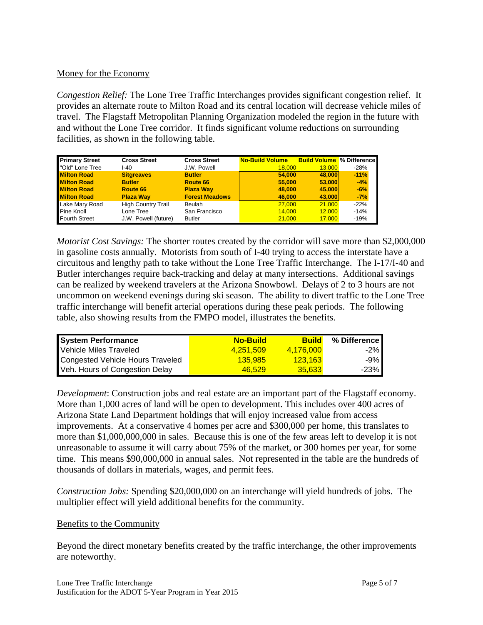#### Money for the Economy

*Congestion Relief:* The Lone Tree Traffic Interchanges provides significant congestion relief. It provides an alternate route to Milton Road and its central location will decrease vehicle miles of travel. The Flagstaff Metropolitan Planning Organization modeled the region in the future with and without the Lone Tree corridor. It finds significant volume reductions on surrounding facilities, as shown in the following table.

| <b>Primary Street</b> | <b>Cross Street</b>       | <b>Cross Street</b>   | <b>No-Build Volume</b> | <b>Build Volume</b> % Difference |        |
|-----------------------|---------------------------|-----------------------|------------------------|----------------------------------|--------|
| "Old" Lone Tree       | I-40                      | J.W. Powell           | 18,000                 | 13.000                           | $-28%$ |
| <b>Milton Road</b>    | <b>Sitgreaves</b>         | <b>Butler</b>         | 54,000                 | 48,000                           | $-11%$ |
| <b>Milton Road</b>    | <b>Butler</b>             | Route 66              | 55,000                 | 53,000                           | $-4%$  |
| <b>Milton Road</b>    | Route 66                  | <b>Plaza Way</b>      | 48,000                 | 45,000                           | $-6%$  |
| <b>Milton Road</b>    | <b>Plaza Way</b>          | <b>Forest Meadows</b> | 46,000                 | 43,000                           | $-7%$  |
| Lake Mary Road        | <b>High Country Trail</b> | <b>Beulah</b>         | 27,000                 | 21,000                           | $-22%$ |
| Pine Knoll            | Lone Tree                 | San Francisco         | 14.000                 | 12,000                           | $-14%$ |
| Fourth Street         | J.W. Powell (future)      | <b>Butler</b>         | 21.000                 | 17.000                           | $-19%$ |

*Motorist Cost Savings:* The shorter routes created by the corridor will save more than \$2,000,000 in gasoline costs annually. Motorists from south of I-40 trying to access the interstate have a circuitous and lengthy path to take without the Lone Tree Traffic Interchange. The I-17/I-40 and Butler interchanges require back-tracking and delay at many intersections. Additional savings can be realized by weekend travelers at the Arizona Snowbowl. Delays of 2 to 3 hours are not uncommon on weekend evenings during ski season. The ability to divert traffic to the Lone Tree traffic interchange will benefit arterial operations during these peak periods. The following table, also showing results from the FMPO model, illustrates the benefits.

| <b>System Performance</b>        | <b>No-Build</b> | <b>Build</b> | % Difference          |
|----------------------------------|-----------------|--------------|-----------------------|
| Vehicle Miles Traveled           | 4.251.509       | 4.176.000    | $-2\%$                |
| Congested Vehicle Hours Traveled | <b>135.985</b>  | 123.163      | $-9\%$ $\blacksquare$ |
| Veh. Hours of Congestion Delay   | 46.529          | 35.633       | $-23%$                |

*Development*: Construction jobs and real estate are an important part of the Flagstaff economy. More than 1,000 acres of land will be open to development. This includes over 400 acres of Arizona State Land Department holdings that will enjoy increased value from access improvements. At a conservative 4 homes per acre and \$300,000 per home, this translates to more than \$1,000,000,000 in sales. Because this is one of the few areas left to develop it is not unreasonable to assume it will carry about 75% of the market, or 300 homes per year, for some time. This means \$90,000,000 in annual sales. Not represented in the table are the hundreds of thousands of dollars in materials, wages, and permit fees.

*Construction Jobs:* Spending \$20,000,000 on an interchange will yield hundreds of jobs. The multiplier effect will yield additional benefits for the community.

#### Benefits to the Community

Beyond the direct monetary benefits created by the traffic interchange, the other improvements are noteworthy.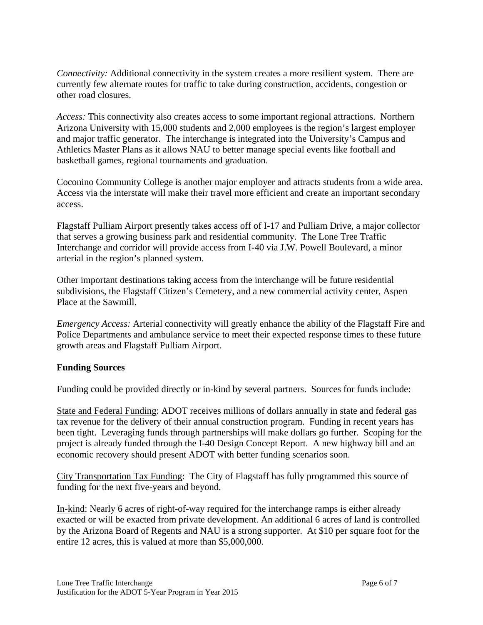*Connectivity:* Additional connectivity in the system creates a more resilient system. There are currently few alternate routes for traffic to take during construction, accidents, congestion or other road closures.

*Access:* This connectivity also creates access to some important regional attractions. Northern Arizona University with 15,000 students and 2,000 employees is the region's largest employer and major traffic generator. The interchange is integrated into the University's Campus and Athletics Master Plans as it allows NAU to better manage special events like football and basketball games, regional tournaments and graduation.

Coconino Community College is another major employer and attracts students from a wide area. Access via the interstate will make their travel more efficient and create an important secondary access.

Flagstaff Pulliam Airport presently takes access off of I-17 and Pulliam Drive, a major collector that serves a growing business park and residential community. The Lone Tree Traffic Interchange and corridor will provide access from I-40 via J.W. Powell Boulevard, a minor arterial in the region's planned system.

Other important destinations taking access from the interchange will be future residential subdivisions, the Flagstaff Citizen's Cemetery, and a new commercial activity center, Aspen Place at the Sawmill.

*Emergency Access:* Arterial connectivity will greatly enhance the ability of the Flagstaff Fire and Police Departments and ambulance service to meet their expected response times to these future growth areas and Flagstaff Pulliam Airport.

### **Funding Sources**

Funding could be provided directly or in-kind by several partners. Sources for funds include:

State and Federal Funding: ADOT receives millions of dollars annually in state and federal gas tax revenue for the delivery of their annual construction program. Funding in recent years has been tight. Leveraging funds through partnerships will make dollars go further. Scoping for the project is already funded through the I-40 Design Concept Report. A new highway bill and an economic recovery should present ADOT with better funding scenarios soon.

City Transportation Tax Funding: The City of Flagstaff has fully programmed this source of funding for the next five-years and beyond.

In-kind: Nearly 6 acres of right-of-way required for the interchange ramps is either already exacted or will be exacted from private development. An additional 6 acres of land is controlled by the Arizona Board of Regents and NAU is a strong supporter. At \$10 per square foot for the entire 12 acres, this is valued at more than \$5,000,000.